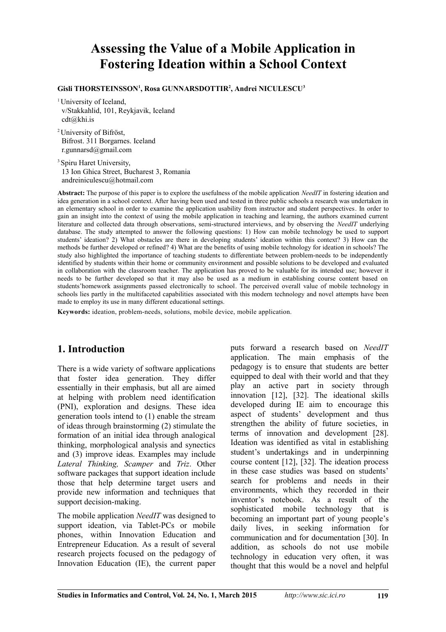# **Assessing the Value of a Mobile Application in Fostering Ideation within a School Context**

#### **Gisli THORSTEINSSON<sup>1</sup> , Rosa GUNNARSDOTTIR<sup>2</sup> , Andrei NICULESCU<sup>3</sup>**

<sup>1</sup> University of Iceland, v/Stakkahlid, 101, Reykjavik, Iceland cdt@khi.is

<sup>2</sup> University of Bifröst, Bifrost. 311 Borgarnes. Iceland r.gunnarsd@gmail.com

<sup>3</sup> Spiru Haret University, 13 Ion Ghica Street, Bucharest 3, Romania andreiniculescu@hotmail.com

**Abstract:** The purpose of this paper is to explore the usefulness of the mobile application *NeedIT* in fostering ideation and idea generation in a school context. After having been used and tested in three public schools a research was undertaken in an elementary school in order to examine the application usability from instructor and student perspectives. In order to gain an insight into the context of using the mobile application in teaching and learning, the authors examined current literature and collected data through observations, semi-structured interviews, and by observing the *NeedIT* underlying database. The study attempted to answer the following questions: 1) How can mobile technology be used to support students' ideation? 2) What obstacles are there in developing students' ideation within this context? 3) How can the methods be further developed or refined? 4) What are the benefits of using mobile technology for ideation in schools? The study also highlighted the importance of teaching students to differentiate between problem-needs to be independently identified by students within their home or community environment and possible solutions to be developed and evaluated in collaboration with the classroom teacher. The application has proved to be valuable for its intended use; however it needs to be further developed so that it may also be used as a medium in establishing course content based on students'homework assignments passed electronically to school. The perceived overall value of mobile technology in schools lies partly in the multifaceted capabilities associated with this modern technology and novel attempts have been made to employ its use in many different educational settings.

**Keywords:** ideation, problem-needs, solutions, mobile device, mobile application.

## **1. Introduction**

There is a wide variety of software applications that foster idea generation. They differ essentially in their emphasis, but all are aimed at helping with problem need identification (PNI), exploration and designs. These idea generation tools intend to (1) enable the stream of ideas through brainstorming (2) stimulate the formation of an initial idea through analogical thinking, morphological analysis and synectics and (3) improve ideas. Examples may include *Lateral Thinking, Scamper* and *Triz*. Other software packages that support ideation include those that help determine target users and provide new information and techniques that support decision-making.

The mobile application *NeedIT* was designed to support ideation, via Tablet-PCs or mobile phones, within Innovation Education and Entrepreneur Education. As a result of several research projects focused on the pedagogy of Innovation Education (IE), the current paper puts forward a research based on *NeedIT* application. The main emphasis of the pedagogy is to ensure that students are better equipped to deal with their world and that they play an active part in society through innovation [12], [32]. The ideational skills developed during IE aim to encourage this aspect of students' development and thus strengthen the ability of future societies, in terms of innovation and development [28]. Ideation was identified as vital in establishing student's undertakings and in underpinning course content [12], [32]. The ideation process in these case studies was based on students' search for problems and needs in their environments, which they recorded in their inventor's notebook. As a result of the sophisticated mobile technology that is becoming an important part of young people's daily lives, in seeking information for communication and for documentation [30]. In addition, as schools do not use mobile technology in education very often, it was thought that this would be a novel and helpful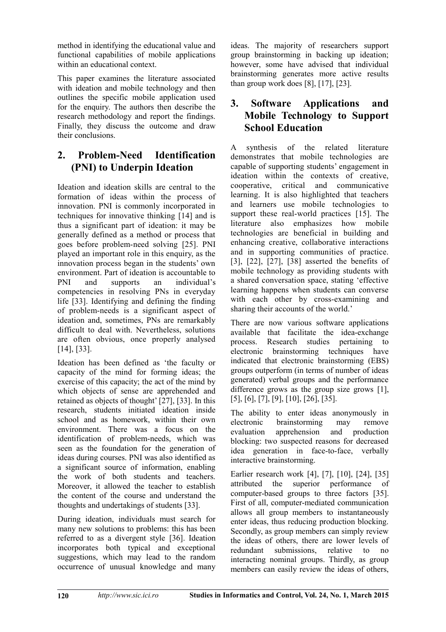method in identifying the educational value and functional capabilities of mobile applications within an educational context.

This paper examines the literature associated with ideation and mobile technology and then outlines the specific mobile application used for the enquiry. The authors then describe the research methodology and report the findings. Finally, they discuss the outcome and draw their conclusions.

## **2. Problem-Need Identification (PNI) to Underpin Ideation**

Ideation and ideation skills are central to the formation of ideas within the process of innovation. PNI is commonly incorporated in techniques for innovative thinking [14] and is thus a significant part of ideation: it may be generally defined as a method or process that goes before problem-need solving [25]. PNI played an important role in this enquiry, as the innovation process began in the students' own environment. Part of ideation is accountable to PNI and supports an individual's competencies in resolving PNs in everyday life [33]. Identifying and defining the finding of problem-needs is a significant aspect of ideation and, sometimes, PNs are remarkably difficult to deal with. Nevertheless, solutions are often obvious, once properly analysed [14], [33].

Ideation has been defined as 'the faculty or capacity of the mind for forming ideas; the exercise of this capacity; the act of the mind by which objects of sense are apprehended and retained as objects of thought' [27], [33]. In this research, students initiated ideation inside school and as homework, within their own environment. There was a focus on the identification of problem-needs, which was seen as the foundation for the generation of ideas during courses. PNI was also identified as a significant source of information, enabling the work of both students and teachers. Moreover, it allowed the teacher to establish the content of the course and understand the thoughts and undertakings of students [33].

During ideation, individuals must search for many new solutions to problems: this has been referred to as a divergent style [36]. Ideation incorporates both typical and exceptional suggestions, which may lead to the random occurrence of unusual knowledge and many

ideas. The majority of researchers support group brainstorming in backing up ideation; however, some have advised that individual brainstorming generates more active results than group work does [8], [17], [23].

### **3. Software Applications and Mobile Technology to Support School Education**

A synthesis of the related literature demonstrates that mobile technologies are capable of supporting students' engagement in ideation within the contexts of creative, cooperative, critical and communicative learning. It is also highlighted that teachers and learners use mobile technologies to support these real-world practices [15]. The literature also emphasizes how mobile technologies are beneficial in building and enhancing creative, collaborative interactions and in supporting communities of practice. [3], [22], [27], [38] asserted the benefits of mobile technology as providing students with a shared conversation space, stating 'effective learning happens when students can converse with each other by cross-examining and sharing their accounts of the world.'

There are now various software applications available that facilitate the idea-exchange process. Research studies pertaining to electronic brainstorming techniques have indicated that electronic brainstorming (EBS) groups outperform (in terms of number of ideas generated) verbal groups and the performance difference grows as the group size grows [1], [5], [6], [7], [9], [10], [26], [35].

The ability to enter ideas anonymously in electronic brainstorming may remove evaluation apprehension and production blocking: two suspected reasons for decreased idea generation in face-to-face, verbally interactive brainstorming.

Earlier research work [4], [7], [10], [24], [35] attributed the superior performance of computer-based groups to three factors [35]. First of all, computer-mediated communication allows all group members to instantaneously enter ideas, thus reducing production blocking. Secondly, as group members can simply review the ideas of others, there are lower levels of redundant submissions, relative to no interacting nominal groups. Thirdly, as group members can easily review the ideas of others,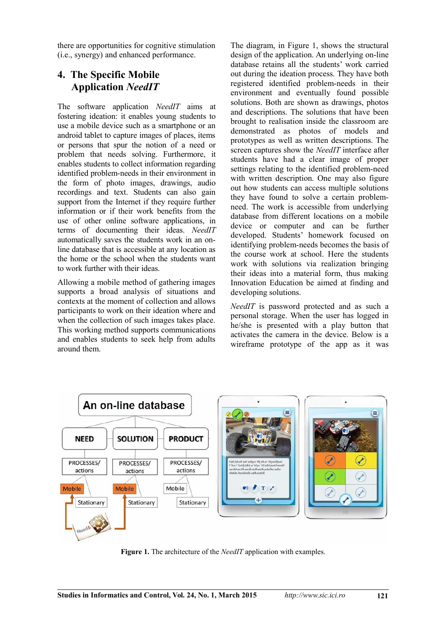there are opportunities for cognitive stimulation (i.e., synergy) and enhanced performance.

## **4. The Specific Mobile Application** *NeedIT*

The software application *NeedIT* aims at fostering ideation: it enables young students to use a mobile device such as a smartphone or an android tablet to capture images of places, items or persons that spur the notion of a need or problem that needs solving. Furthermore, it enables students to collect information regarding identified problem-needs in their environment in the form of photo images, drawings, audio recordings and text. Students can also gain support from the Internet if they require further information or if their work benefits from the use of other online software applications, in terms of documenting their ideas. *NeedIT* automatically saves the students work in an online database that is accessible at any location as the home or the school when the students want to work further with their ideas.

Allowing a mobile method of gathering images supports a broad analysis of situations and contexts at the moment of collection and allows participants to work on their ideation where and when the collection of such images takes place. This working method supports communications and enables students to seek help from adults around them.

The diagram, in Figure 1, shows the structural design of the application. An underlying on-line database retains all the students' work carried out during the ideation process. They have both registered identified problem-needs in their environment and eventually found possible solutions. Both are shown as drawings, photos and descriptions. The solutions that have been brought to realisation inside the classroom are demonstrated as photos of models and prototypes as well as written descriptions. The screen captures show the *NeedIT* interface after students have had a clear image of proper settings relating to the identified problem-need with written description. One may also figure out how students can access multiple solutions they have found to solve a certain problemneed. The work is accessible from underlying database from different locations on a mobile device or computer and can be further developed. Students' homework focused on identifying problem-needs becomes the basis of the course work at school. Here the students work with solutions via realization bringing their ideas into a material form, thus making Innovation Education be aimed at finding and developing solutions.

*NeedIT* is password protected and as such a personal storage. When the user has logged in he/she is presented with a play button that activates the camera in the device. Below is a wireframe prototype of the app as it was



**Figure 1.** The architecture of the *NeedIT* application with examples.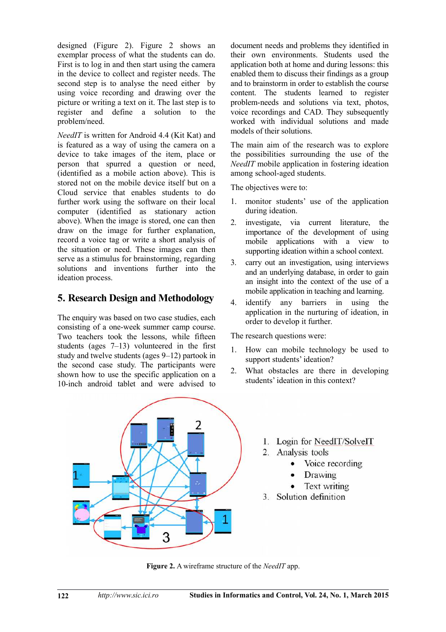designed (Figure 2). Figure 2 shows an exemplar process of what the students can do. First is to log in and then start using the camera in the device to collect and register needs. The second step is to analyse the need either by using voice recording and drawing over the picture or writing a text on it. The last step is to register and define a solution to the problem/need.

*NeedIT* is written for Android 4.4 (Kit Kat) and is featured as a way of using the camera on a device to take images of the item, place or person that spurred a question or need, (identified as a mobile action above). This is stored not on the mobile device itself but on a Cloud service that enables students to do further work using the software on their local computer (identified as stationary action above). When the image is stored, one can then draw on the image for further explanation, record a voice tag or write a short analysis of the situation or need. These images can then serve as a stimulus for brainstorming, regarding solutions and inventions further into the ideation process.

#### **5. Research Design and Methodology**

The enquiry was based on two case studies, each consisting of a one-week summer camp course. Two teachers took the lessons, while fifteen students (ages 7–13) volunteered in the first study and twelve students (ages 9–12) partook in the second case study. The participants were shown how to use the specific application on a 10-inch android tablet and were advised to document needs and problems they identified in their own environments. Students used the application both at home and during lessons: this enabled them to discuss their findings as a group and to brainstorm in order to establish the course content. The students learned to register problem-needs and solutions via text, photos, voice recordings and CAD. They subsequently worked with individual solutions and made models of their solutions.

The main aim of the research was to explore the possibilities surrounding the use of the *NeedIT* mobile application in fostering ideation among school-aged students.

The objectives were to:

- 1. monitor students' use of the application during ideation.
- 2. investigate, via current literature, the importance of the development of using mobile applications with a view to supporting ideation within a school context.
- 3. carry out an investigation, using interviews and an underlying database, in order to gain an insight into the context of the use of a mobile application in teaching and learning.
- 4. identify any barriers in using the application in the nurturing of ideation, in order to develop it further.

The research questions were:

- 1. How can mobile technology be used to support students' ideation?
- 2. What obstacles are there in developing students' ideation in this context?



- 1. Login for NeedIT/SolveIT
- 2. Analysis tools
	- Voice recording
	- $\bullet$ Drawing
	- Text writing
- 3. Solution definition

**Figure 2.** A wireframe structure of the *NeedIT* app.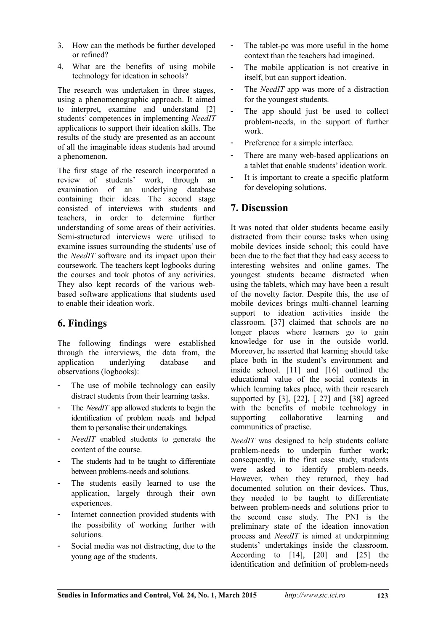- 3. How can the methods be further developed or refined?
- 4. What are the benefits of using mobile technology for ideation in schools?

The research was undertaken in three stages, using a phenomenographic approach. It aimed to interpret, examine and understand [2] students' competences in implementing *NeedIT* applications to support their ideation skills. The results of the study are presented as an account of all the imaginable ideas students had around a phenomenon.

The first stage of the research incorporated a review of students' work, through an examination of an underlying database containing their ideas. The second stage consisted of interviews with students and teachers, in order to determine further understanding of some areas of their activities. Semi-structured interviews were utilised to examine issues surrounding the students' use of the *NeedIT* software and its impact upon their coursework. The teachers kept logbooks during the courses and took photos of any activities. They also kept records of the various webbased software applications that students used to enable their ideation work.

## **6. Findings**

The following findings were established through the interviews, the data from, the application underlying database and observations (logbooks):

- The use of mobile technology can easily distract students from their learning tasks.
- The *NeedIT* app allowed students to begin the identification of problem needs and helped them to personalise their undertakings.
- NeedIT enabled students to generate the content of the course.
- The students had to be taught to differentiate between problems-needs and solutions.
- The students easily learned to use the application, largely through their own experiences.
- Internet connection provided students with the possibility of working further with solutions.
- Social media was not distracting, due to the young age of the students.
- The tablet-pc was more useful in the home context than the teachers had imagined.
- The mobile application is not creative in itself, but can support ideation.
- The *NeedIT* app was more of a distraction for the youngest students.
- The app should just be used to collect problem-needs, in the support of further work.
- Preference for a simple interface.
- There are many web-based applications on a tablet that enable students' ideation work.
- It is important to create a specific platform for developing solutions.

### **7. Discussion**

It was noted that older students became easily distracted from their course tasks when using mobile devices inside school; this could have been due to the fact that they had easy access to interesting websites and online games. The youngest students became distracted when using the tablets, which may have been a result of the novelty factor. Despite this, the use of mobile devices brings multi-channel learning support to ideation activities inside the classroom. [37] claimed that schools are no longer places where learners go to gain knowledge for use in the outside world. Moreover, he asserted that learning should take place both in the student's environment and inside school. [11] and [16] outlined the educational value of the social contexts in which learning takes place, with their research supported by [3], [22], [27] and [38] agreed with the benefits of mobile technology in supporting collaborative learning and communities of practise.

*NeedIT* was designed to help students collate problem-needs to underpin further work; consequently, in the first case study, students were asked to identify problem-needs. However, when they returned, they had documented solution on their devices. Thus, they needed to be taught to differentiate between problem-needs and solutions prior to the second case study. The PNI is the preliminary state of the ideation innovation process and *NeedIT* is aimed at underpinning students' undertakings inside the classroom. According to [14], [20] and [25] the identification and definition of problem-needs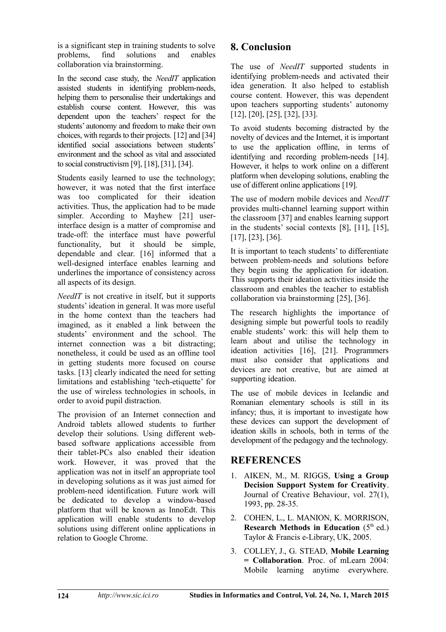is a significant step in training students to solve<br>problems find solutions and enables problems, find solutions and enables collaboration via brainstorming.

In the second case study, the *NeedIT* application assisted students in identifying problem-needs, helping them to personalise their undertakings and establish course content. However, this was dependent upon the teachers' respect for the students' autonomy and freedom to make their own choices, with regards to their projects. [12] and [34] identified social associations between students' environment and the school as vital and associated to social constructivism [9], [18], [31], [34].

Students easily learned to use the technology; however, it was noted that the first interface was too complicated for their ideation activities. Thus, the application had to be made simpler. According to Mayhew [21] userinterface design is a matter of compromise and trade-off: the interface must have powerful functionality, but it should be simple, dependable and clear. [16] informed that a well-designed interface enables learning and underlines the importance of consistency across all aspects of its design.

*NeedIT* is not creative in itself, but it supports students' ideation in general. It was more useful in the home context than the teachers had imagined, as it enabled a link between the students' environment and the school. The internet connection was a bit distracting; nonetheless, it could be used as an offline tool in getting students more focused on course tasks. [13] clearly indicated the need for setting limitations and establishing 'tech-etiquette' for the use of wireless technologies in schools, in order to avoid pupil distraction.

The provision of an Internet connection and Android tablets allowed students to further develop their solutions. Using different webbased software applications accessible from their tablet-PCs also enabled their ideation work. However, it was proved that the application was not in itself an appropriate tool in developing solutions as it was just aimed for problem-need identification. Future work will be dedicated to develop a window-based platform that will be known as InnoEdt. This application will enable students to develop solutions using different online applications in relation to Google Chrome.

## **8. Conclusion**

The use of *NeedIT* supported students in identifying problem-needs and activated their idea generation. It also helped to establish course content. However, this was dependent upon teachers supporting students' autonomy [12], [20], [25], [32], [33].

To avoid students becoming distracted by the novelty of devices and the Internet, it is important to use the application offline, in terms of identifying and recording problem-needs [14]. However, it helps to work online on a different platform when developing solutions, enabling the use of different online applications [19].

The use of modern mobile devices and *NeedIT* provides multi-channel learning support within the classroom [37] and enables learning support in the students' social contexts [8], [11], [15], [17], [23], [36].

It is important to teach students' to differentiate between problem-needs and solutions before they begin using the application for ideation. This supports their ideation activities inside the classroom and enables the teacher to establish collaboration via brainstorming [25], [36].

The research highlights the importance of designing simple but powerful tools to readily enable students' work: this will help them to learn about and utilise the technology in ideation activities [16], [21]. Programmers must also consider that applications and devices are not creative, but are aimed at supporting ideation.

The use of mobile devices in Icelandic and Romanian elementary schools is still in its infancy; thus, it is important to investigate how these devices can support the development of ideation skills in schools, both in terms of the development of the pedagogy and the technology.

### **REFERENCES**

- 1. AIKEN, M., M. RIGGS, **Using a Group Decision Support System for Creativity**. Journal of Creative Behaviour, vol. 27(1), 1993, pp. 28-35.
- 2. COHEN, L., L. MANION, K. MORRISON, **Research Methods in Education**  $(5<sup>th</sup>$  ed.) Taylor & Francis e-Library, UK, 2005.
- 3. COLLEY, J., G. STEAD, **Mobile Learning = Collaboration**. Proc. of mLearn 2004: Mobile learning anytime everywhere.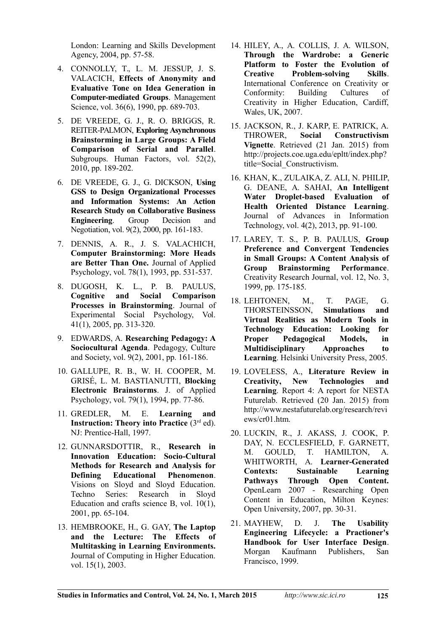London: Learning and Skills Development Agency, 2004, pp. 57-58.

- 4. CONNOLLY, T., L. M. JESSUP, J. S. VALACICH, **Effects of Anonymity and Evaluative Tone on Idea Generation in Computer-mediated Groups**. Management Science, vol. 36(6), 1990, pp. 689-703.
- 5. DE VREEDE, G. J., R. O. BRIGGS, R. REITER-PALMON, **Exploring Asynchronous Brainstorming in Large Groups: A Field Comparison of Serial and Parallel**. Subgroups. Human Factors, vol. 52(2), 2010, pp. 189-202.
- 6. DE VREEDE, G. J., G. DICKSON, **Using GSS to Design Organizational Processes and Information Systems: An Action Research Study on Collaborative Business Engineering**. Group Decision and Negotiation, vol. 9(2), 2000, pp. 161-183.
- 7. DENNIS, A. R., J. S. VALACHICH, **Computer Brainstorming: More Heads are Better Than One.** Journal of Applied Psychology, vol. 78(1), 1993, pp. 531-537.
- 8. DUGOSH, K. L., P. B. PAULUS, **Cognitive and Social Comparison Processes in Brainstorming**. Journal of Experimental Social Psychology, Vol. 41(1), 2005, pp. 313-320.
- 9. EDWARDS, A. **Researching Pedagogy: A Sociocultural Agenda**. Pedagogy, Culture and Society, vol. 9(2), 2001, pp. 161-186.
- 10. GALLUPE, R. B., W. H. COOPER, M. GRISÉ, L. M. BASTIANUTTI, **Blocking Electronic Brainstorms**. J. of Applied Psychology, vol. 79(1), 1994, pp. 77-86.
- 11. GREDLER, M. E. **Learning and Instruction: Theory into Practice** (3<sup>rd</sup> ed). NJ: Prentice-Hall, 1997.
- 12. GUNNARSDOTTIR, R., **Research in Innovation Education: Socio-Cultural Methods for Research and Analysis for Defining Educational Phenomenon**. Visions on Sloyd and Sloyd Education. Techno Series: Research in Sloyd Education and crafts science B, vol. 10(1), 2001, pp. 65-104.
- 13. HEMBROOKE, H., G. GAY, **The Laptop and the Lecture: The Effects of Multitasking in Learning Environments.** Journal of Computing in Higher Education. vol. 15(1), 2003.
- 14. HILEY, A., A. COLLIS, J. A. WILSON, **Through the Wardrobe: a Generic Platform to Foster the Evolution of Creative Problem-solving Skills**. International Conference on Creativity or Conformity: Building Cultures of Creativity in Higher Education, Cardiff, Wales, UK, 2007.
- 15. JACKSON, R., J. KARP, E. PATRICK, A. **Constructivism Vignette**. Retrieved (21 Jan. 2015) from http://projects.coe.uga.edu/epltt/index.php? title=Social\_Constructivism.
- 16. KHAN, K., ZULAIKA, Z. ALI, N. PHILIP, G. DEANE, A. SAHAI, **An Intelligent Water Droplet-based Evaluation of Health Oriented Distance Learning**. Journal of Advances in Information Technology, vol. 4(2), 2013, pp. 91-100.
- 17. LAREY, T. S., P. B. PAULUS, **Group Preference and Convergent Tendencies in Small Groups: A Content Analysis of Group Brainstorming Performance**. Creativity Research Journal, vol. 12, No. 3, 1999, pp. 175-185.
- 18. LEHTONEN, M., T. PAGE, G.<br>THORSTEINSSON. Simulations and THORSTEINSSON, **Simulations and Virtual Realities as Modern Tools in Technology Education: Looking for Proper Pedagogical Models, in Multidisciplinary Approaches to Learning**. Helsinki University Press, 2005.
- 19. LOVELESS, A., **Literature Review in Creativity, New Technologies and Learning**. Report 4: A report for NESTA Futurelab. Retrieved (20 Jan. 2015) from http://www.nestafuturelab.org/research/revi ews/cr01.htm.
- 20. LUCKIN, R., J. AKASS, J. COOK, P. DAY, N. ECCLESFIELD, F. GARNETT, M. GOULD, T. HAMILTON, A. WHITWORTH, A. **Learner-Generated Contexts: Sustainable Learning Pathways Through Open Content.** OpenLearn 2007 - Researching Open Content in Education, Milton Keynes: Open University, 2007, pp. 30-31.
- 21. MAYHEW, D. J. **The Usability Engineering Lifecycle: a Practioner's Handbook for User Interface Design**. Morgan Kaufmann Publishers, San Francisco, 1999.